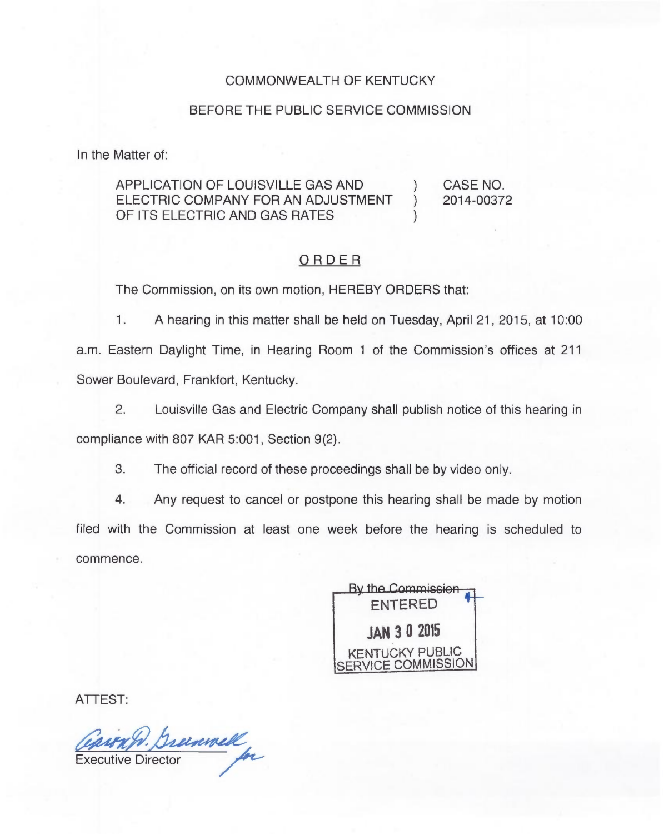## COMMONWEALTH OF KENTUCKY

## BEFORE THE PUBLIC SERVICE COMMISSION

In the Matter of:

## APPLICATION OF LOUISVILLE GAS AND (CASE NO.<br>ELECTRIC COMPANY FOR AN ADJUSTMENT ) 2014-00372 ELECTRIC COMPANY FOR AN ADJUSTMENT ) OF ITS ELECTRIC AND GAS RATES

## ORDER

The Commission, on its own motion, HEREBY ORDERS that:

1. A hearing in this matter shall be held on Tuesday, April 21, 2015, at 10:00 a.m. Eastern Daylight Time, in Hearing Room <sup>1</sup> of the Commission's offices at 211 Sower Boulevard, Frankfort, Kentucky.

2. Louisville Gas and Electric Company shall publish notice of this hearing in

compliance with 807 KAR 5:001, Section 9(2).

3. The official record of these proceedings shall be by video only.

4. Any request to cancel or postpone this hearing shall be made by motion filed with the Commission at least one week before the hearing is scheduled to commence.

**By the Commission** ENTERED JAN 3 0 205 KENTUCKY PUBLIC SERVICE COMMISSION

ATTEST:

CONTRA). Breenwell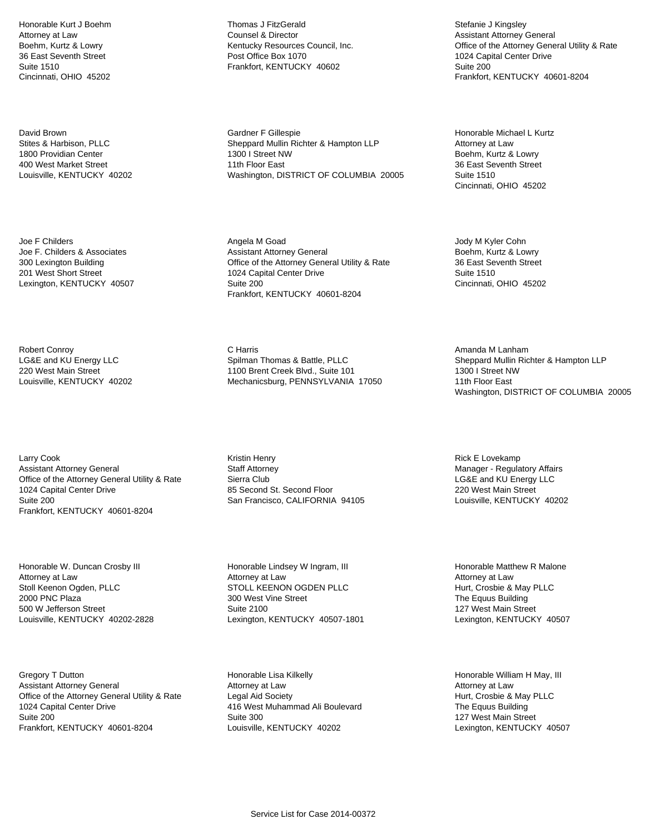Honorable Kurt J Boehm Attorney at Law Boehm, Kurtz & Lowry 36 East Seventh Street Suite 1510 Cincinnati, OHIO 45202

David Brown Stites & Harbison, PLLC 1800 Providian Center 400 West Market Street Louisville, KENTUCKY 40202

Joe F Childers Joe F. Childers & Associates 300 Lexington Building 201 West Short Street Lexington, KENTUCKY 40507

Robert Conroy LG&E and KU Energy LLC 220 West Main Street Louisville, KENTUCKY 40202

Larry Cook Assistant Attorney General Office of the Attorney General Utility & Rate 1024 Capital Center Drive Suite 200 Frankfort, KENTUCKY 40601-8204

Honorable W. Duncan Crosby III Attorney at Law Stoll Keenon Ogden, PLLC 2000 PNC Plaza 500 W Jefferson Street Louisville, KENTUCKY 40202-2828

Gregory T Dutton Assistant Attorney General Office of the Attorney General Utility & Rate 1024 Capital Center Drive Suite 200 Frankfort, KENTUCKY 40601-8204

Thomas J FitzGerald Counsel & Director Kentucky Resources Council, Inc. Post Office Box 1070 Frankfort, KENTUCKY 40602

Gardner F Gillespie Sheppard Mullin Richter & Hampton LLP 1300 I Street NW 11th Floor East Washington, DISTRICT OF COLUMBIA 20005

Angela M Goad Assistant Attorney General Office of the Attorney General Utility & Rate 1024 Capital Center Drive Suite 200 Frankfort, KENTUCKY 40601-8204

C Harris Spilman Thomas & Battle, PLLC 1100 Brent Creek Blvd., Suite 101 Mechanicsburg, PENNSYLVANIA 17050

Kristin Henry Staff Attorney Sierra Club 85 Second St. Second Floor San Francisco, CALIFORNIA 94105

Honorable Lindsey W Ingram, III Attorney at Law STOLL KEENON OGDEN PLLC 300 West Vine Street Suite 2100 Lexington, KENTUCKY 40507-1801

Honorable Lisa Kilkelly Attorney at Law Legal Aid Society 416 West Muhammad Ali Boulevard Suite 300 Louisville, KENTUCKY 40202

Stefanie J Kingsley Assistant Attorney General Office of the Attorney General Utility & Rate 1024 Capital Center Drive Suite 200 Frankfort, KENTUCKY 40601-8204

Honorable Michael L Kurtz Attorney at Law Boehm, Kurtz & Lowry 36 East Seventh Street Suite 1510 Cincinnati, OHIO 45202

Jody M Kyler Cohn Boehm, Kurtz & Lowry 36 East Seventh Street Suite 1510 Cincinnati, OHIO 45202

Amanda M Lanham Sheppard Mullin Richter & Hampton LLP 1300 I Street NW 11th Floor East Washington, DISTRICT OF COLUMBIA 20005

Rick E Lovekamp Manager - Regulatory Affairs LG&E and KU Energy LLC 220 West Main Street Louisville, KENTUCKY 40202

Honorable Matthew R Malone Attorney at Law Hurt, Crosbie & May PLLC The Equus Building 127 West Main Street Lexington, KENTUCKY 40507

Honorable William H May, III Attorney at Law Hurt, Crosbie & May PLLC The Equus Building 127 West Main Street Lexington, KENTUCKY 40507